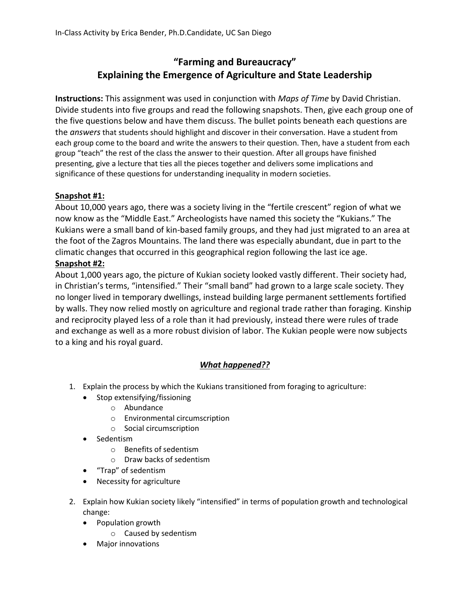## **"Farming and Bureaucracy" Explaining the Emergence of Agriculture and State Leadership**

**Instructions:** This assignment was used in conjunction with *Maps of Time* by David Christian. Divide students into five groups and read the following snapshots. Then, give each group one of the five questions below and have them discuss. The bullet points beneath each questions are the *answers* that students should highlight and discover in their conversation. Have a student from each group come to the board and write the answers to their question. Then, have a student from each group "teach" the rest of the class the answer to their question. After all groups have finished presenting, give a lecture that ties all the pieces together and delivers some implications and significance of these questions for understanding inequality in modern societies.

## **Snapshot #1:**

About 10,000 years ago, there was a society living in the "fertile crescent" region of what we now know as the "Middle East." Archeologists have named this society the "Kukians." The Kukians were a small band of kin-based family groups, and they had just migrated to an area at the foot of the Zagros Mountains. The land there was especially abundant, due in part to the climatic changes that occurred in this geographical region following the last ice age.

## **Snapshot #2:**

About 1,000 years ago, the picture of Kukian society looked vastly different. Their society had, in Christian's terms, "intensified." Their "small band" had grown to a large scale society. They no longer lived in temporary dwellings, instead building large permanent settlements fortified by walls. They now relied mostly on agriculture and regional trade rather than foraging. Kinship and reciprocity played less of a role than it had previously, instead there were rules of trade and exchange as well as a more robust division of labor. The Kukian people were now subjects to a king and his royal guard.

## *What happened??*

- 1. Explain the process by which the Kukians transitioned from foraging to agriculture:
	- Stop extensifying/fissioning
		- o Abundance
		- o Environmental circumscription
		- o Social circumscription
	- Sedentism
		- o Benefits of sedentism
		- o Draw backs of sedentism
	- "Trap" of sedentism
	- Necessity for agriculture
- 2. Explain how Kukian society likely "intensified" in terms of population growth and technological change:
	- Population growth
		- o Caused by sedentism
	- Major innovations